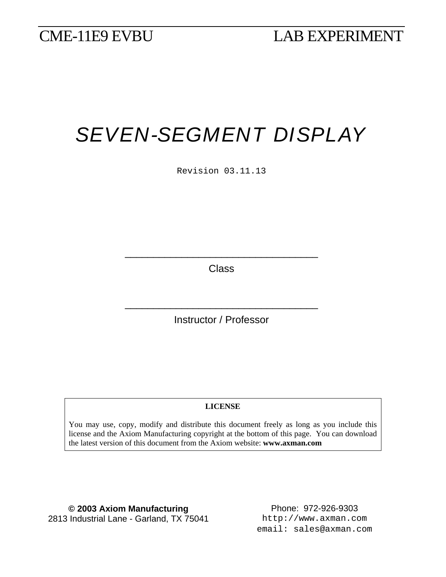# *SEVEN-SEGMENT DISPLAY*

Revision 03.11.13

**Class** 

\_\_\_\_\_\_\_\_\_\_\_\_\_\_\_\_\_\_\_\_\_\_\_\_\_\_\_\_\_\_\_\_\_\_

Instructor / Professor

\_\_\_\_\_\_\_\_\_\_\_\_\_\_\_\_\_\_\_\_\_\_\_\_\_\_\_\_\_\_\_\_\_\_

#### **LICENSE**

You may use, copy, modify and distribute this document freely as long as you include this license and the Axiom Manufacturing copyright at the bottom of this page. You can download the latest version of this document from the Axiom website: **www.axman.com**

**© 2003 Axiom Manufacturing** Phone: 972-926-9303 2813 Industrial Lane - Garland, TX 75041 http://www.axman.com

email: sales@axman.com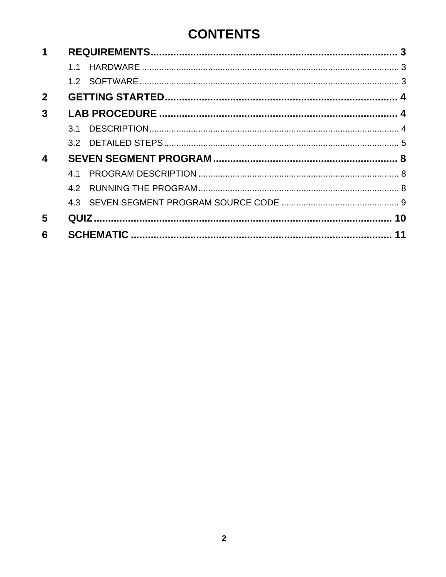#### **CONTENTS**

| 1                |     |  |    |  |  |
|------------------|-----|--|----|--|--|
|                  | 11  |  |    |  |  |
|                  |     |  |    |  |  |
| $\mathbf{2}$     |     |  |    |  |  |
| 3                |     |  |    |  |  |
|                  | 3.1 |  |    |  |  |
|                  |     |  |    |  |  |
| $\boldsymbol{4}$ |     |  |    |  |  |
|                  | 41  |  |    |  |  |
|                  | 4.2 |  |    |  |  |
|                  |     |  |    |  |  |
| 5                |     |  |    |  |  |
| 6                |     |  | 11 |  |  |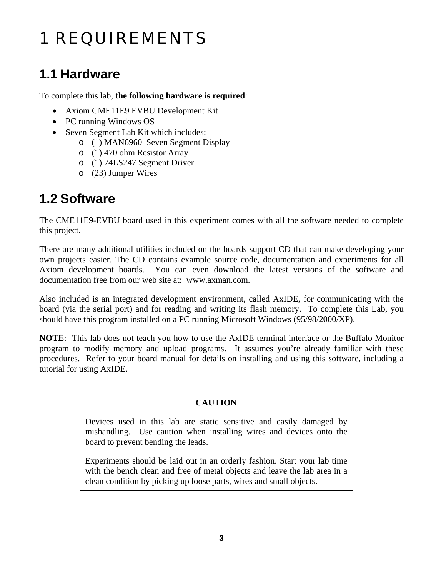## <span id="page-2-0"></span>1 REQUIREMENTS

### **1.1 Hardware**

To complete this lab, **the following hardware is required**:

- Axiom CME11E9 EVBU Development Kit
- PC running Windows OS
- Seven Segment Lab Kit which includes:
	- o (1) MAN6960 Seven Segment Display
	- o (1) 470 ohm Resistor Array
	- o (1) 74LS247 Segment Driver
	- o (23) Jumper Wires

#### **1.2 Software**

The CME11E9-EVBU board used in this experiment comes with all the software needed to complete this project.

There are many additional utilities included on the boards support CD that can make developing your own projects easier. The CD contains example source code, documentation and experiments for all Axiom development boards. You can even download the latest versions of the software and documentation free from our web site at: www.axman.com.

Also included is an integrated development environment, called AxIDE, for communicating with the board (via the serial port) and for reading and writing its flash memory. To complete this Lab, you should have this program installed on a PC running Microsoft Windows (95/98/2000/XP).

**NOTE**: This lab does not teach you how to use the AxIDE terminal interface or the Buffalo Monitor program to modify memory and upload programs. It assumes you're already familiar with these procedures. Refer to your board manual for details on installing and using this software, including a tutorial for using AxIDE.

#### **CAUTION**

Devices used in this lab are static sensitive and easily damaged by mishandling. Use caution when installing wires and devices onto the board to prevent bending the leads.

Experiments should be laid out in an orderly fashion. Start your lab time with the bench clean and free of metal objects and leave the lab area in a clean condition by picking up loose parts, wires and small objects.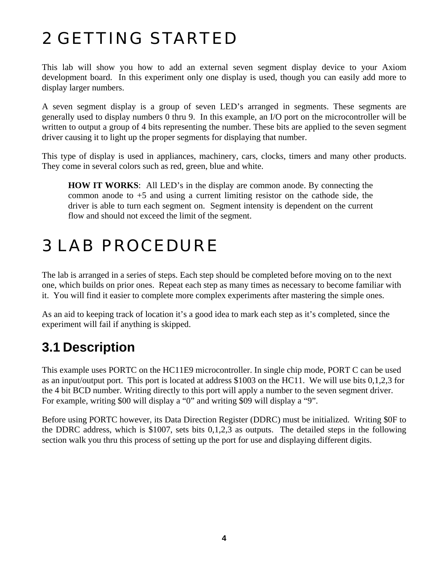## <span id="page-3-0"></span>2 GETTING STARTED

This lab will show you how to add an external seven segment display device to your Axiom development board. In this experiment only one display is used, though you can easily add more to display larger numbers.

A seven segment display is a group of seven LED's arranged in segments. These segments are generally used to display numbers 0 thru 9. In this example, an I/O port on the microcontroller will be written to output a group of 4 bits representing the number. These bits are applied to the seven segment driver causing it to light up the proper segments for displaying that number.

This type of display is used in appliances, machinery, cars, clocks, timers and many other products. They come in several colors such as red, green, blue and white.

**HOW IT WORKS**: All LED's in the display are common anode. By connecting the common anode to +5 and using a current limiting resistor on the cathode side, the driver is able to turn each segment on. Segment intensity is dependent on the current flow and should not exceed the limit of the segment.

### 3 LAB PROCEDURE

The lab is arranged in a series of steps. Each step should be completed before moving on to the next one, which builds on prior ones. Repeat each step as many times as necessary to become familiar with it. You will find it easier to complete more complex experiments after mastering the simple ones.

As an aid to keeping track of location it's a good idea to mark each step as it's completed, since the experiment will fail if anything is skipped.

### **3.1 Description**

This example uses PORTC on the HC11E9 microcontroller. In single chip mode, PORT C can be used as an input/output port. This port is located at address \$1003 on the HC11. We will use bits 0,1,2,3 for the 4 bit BCD number. Writing directly to this port will apply a number to the seven segment driver. For example, writing \$00 will display a "0" and writing \$09 will display a "9".

Before using PORTC however, its Data Direction Register (DDRC) must be initialized. Writing \$0F to the DDRC address, which is \$1007, sets bits 0,1,2,3 as outputs. The detailed steps in the following section walk you thru this process of setting up the port for use and displaying different digits.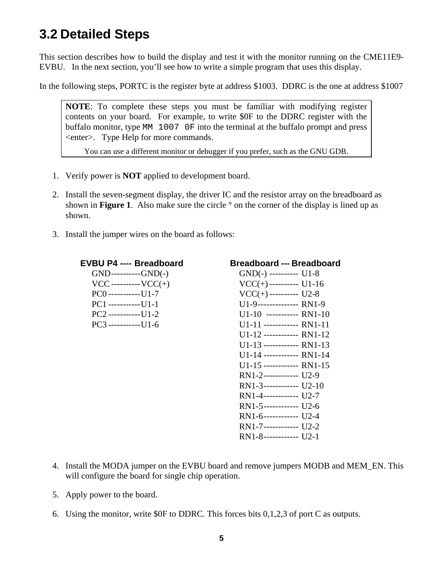#### <span id="page-4-0"></span>**3.2 Detailed Steps**

This section describes how to build the display and test it with the monitor running on the CME11E9- EVBU. In the next section, you'll see how to write a simple program that uses this display.

In the following steps, PORTC is the register byte at address \$1003. DDRC is the one at address \$1007

**NOTE**: To complete these steps you must be familiar with modifying register contents on your board. For example, to write \$0F to the DDRC register with the buffalo monitor, type MM 1007 0F into the terminal at the buffalo prompt and press <enter>. Type Help for more commands.

You can use a different monitor or debugger if you prefer, such as the GNU GDB.

- 1. Verify power is **NOT** applied to development board.
- 2. Install the seven-segment display, the driver IC and the resistor array on the breadboard as shown in **Figure 1**. Also make sure the circle ° on the corner of the display is lined up as shown.
- 3. Install the jumper wires on the board as follows:

| <b>EVBU P4 ---- Breadboard</b> | <b>Breadboard --- Breadboard</b> |
|--------------------------------|----------------------------------|
| $GND$ ----------- $GND(-)$     | $GND(-)$ ---------- U1-8         |
| $VCC$ ---------- $VCC(+)$      | $VCC(+)$ ---------- U1-16        |
| $PC()$ ------------[J]-7       | $VCC(+)$ ---------- U2-8         |
| $PC1$ ------------U1-1         | U1-9---------------- RN1-9       |
| $PC2$ ------------U1-2         | $U1-10$ ----------- RN1-10       |
| $PC3$ ------------U1-6         | $U1-11$ ------------- RN1-11     |
|                                | $U1-12$ ------------- RN1-12     |
|                                | $U1-13$ -------------- RN1-13    |
|                                | $U1-14$ ------------ RN1-14      |
|                                | $U1-15$ ------------- RN1-15     |
|                                | RN1-2------------- U2-9          |
|                                | $RN1-3$ ------------ U2-10       |
|                                | $RN1-4$ ------------ U2-7        |
|                                | $RN1-5$ ------------- U2-6       |
|                                | $RN1-6$ ------------- U2-4       |
|                                | RN1-7------------- U2-2          |

- RN1-8------------ U2-1
- 4. Install the MODA jumper on the EVBU board and remove jumpers MODB and MEM\_EN. This will configure the board for single chip operation.
- 5. Apply power to the board.
- 6. Using the monitor, write \$0F to DDRC. This forces bits 0,1,2,3 of port C as outputs.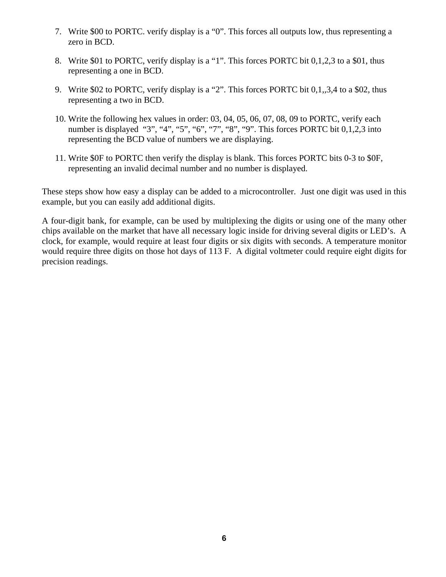- 7. Write \$00 to PORTC. verify display is a "0". This forces all outputs low, thus representing a zero in BCD.
- 8. Write \$01 to PORTC, verify display is a "1". This forces PORTC bit 0,1,2,3 to a \$01, thus representing a one in BCD.
- 9. Write \$02 to PORTC, verify display is a "2". This forces PORTC bit 0,1,,3,4 to a \$02, thus representing a two in BCD.
- 10. Write the following hex values in order: 03, 04, 05, 06, 07, 08, 09 to PORTC, verify each number is displayed "3", "4", "5", "6", "7", "8", "9". This forces PORTC bit 0,1,2,3 into representing the BCD value of numbers we are displaying.
- 11. Write \$0F to PORTC then verify the display is blank. This forces PORTC bits 0-3 to \$0F, representing an invalid decimal number and no number is displayed.

These steps show how easy a display can be added to a microcontroller. Just one digit was used in this example, but you can easily add additional digits.

A four-digit bank, for example, can be used by multiplexing the digits or using one of the many other chips available on the market that have all necessary logic inside for driving several digits or LED's. A clock, for example, would require at least four digits or six digits with seconds. A temperature monitor would require three digits on those hot days of 113 F. A digital voltmeter could require eight digits for precision readings.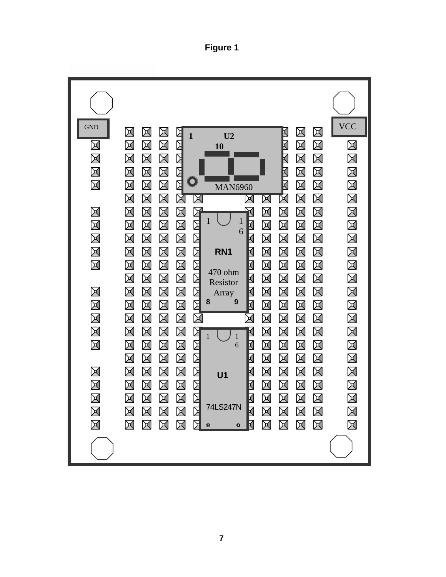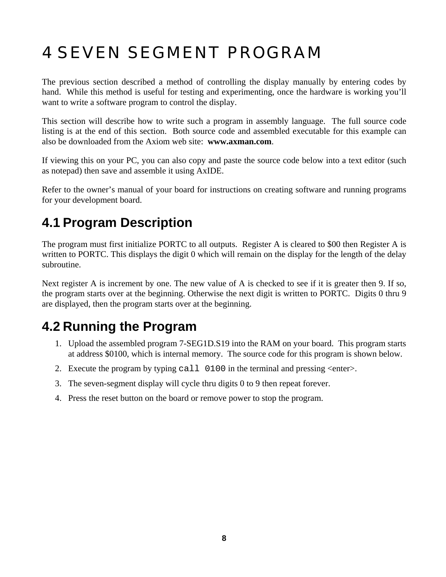## <span id="page-7-0"></span>4 SEVEN SEGMENT PROGRAM

The previous section described a method of controlling the display manually by entering codes by hand. While this method is useful for testing and experimenting, once the hardware is working you'll want to write a software program to control the display.

This section will describe how to write such a program in assembly language. The full source code listing is at the end of this section. Both source code and assembled executable for this example can also be downloaded from the Axiom web site: **www.axman.com**.

If viewing this on your PC, you can also copy and paste the source code below into a text editor (such as notepad) then save and assemble it using AxIDE.

Refer to the owner's manual of your board for instructions on creating software and running programs for your development board.

### **4.1 Program Description**

The program must first initialize PORTC to all outputs. Register A is cleared to \$00 then Register A is written to PORTC. This displays the digit 0 which will remain on the display for the length of the delay subroutine.

Next register A is increment by one. The new value of A is checked to see if it is greater then 9. If so, the program starts over at the beginning. Otherwise the next digit is written to PORTC. Digits 0 thru 9 are displayed, then the program starts over at the beginning.

#### **4.2 Running the Program**

- 1. Upload the assembled program 7-SEG1D.S19 into the RAM on your board. This program starts at address \$0100, which is internal memory. The source code for this program is shown below.
- 2. Execute the program by typing call 0100 in the terminal and pressing <enter>.
- 3. The seven-segment display will cycle thru digits 0 to 9 then repeat forever.
- 4. Press the reset button on the board or remove power to stop the program.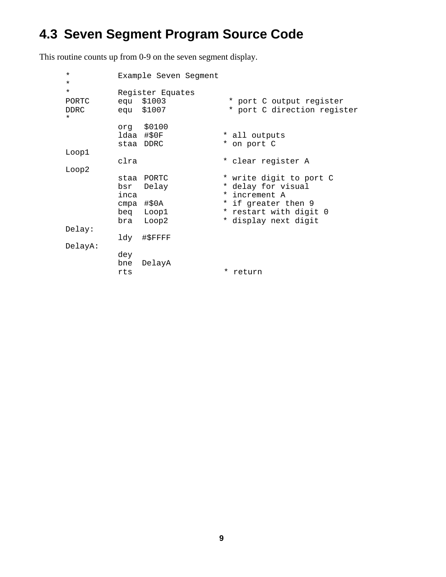### <span id="page-8-0"></span>4.3 Seven Segment Program Source Code

This routine counts up from 0-9 on the seven segment display.

| $\star$<br>$\star$                         |                   | Example Seven Segment                                       |                                                                                                                                         |
|--------------------------------------------|-------------------|-------------------------------------------------------------|-----------------------------------------------------------------------------------------------------------------------------------------|
| $\star$<br>PORTC<br><b>DDRC</b><br>$\star$ |                   | Register Equates<br>equ \$1003<br>equ \$1007                | * port C output register<br>* port C direction register                                                                                 |
|                                            |                   | org \$0100<br>ldaa #\$0F<br>staa DDRC                       | * all outputs<br>* on port C                                                                                                            |
| Loop1                                      |                   |                                                             |                                                                                                                                         |
|                                            | clra              |                                                             | * clear register A                                                                                                                      |
| Loop2                                      | bsr<br>inca       | staa PORTC<br>Delay<br>cmpa #\$0A<br>beg Loop1<br>bra Loop2 | * write digit to port C<br>* delay for visual<br>* increment A<br>* if greater then 9<br>* restart with digit 0<br>* display next digit |
| Delay:                                     |                   |                                                             |                                                                                                                                         |
|                                            |                   | ldy #\$FFFF                                                 |                                                                                                                                         |
| DelayA:                                    | dey<br>bne<br>rts | DelayA                                                      | * return                                                                                                                                |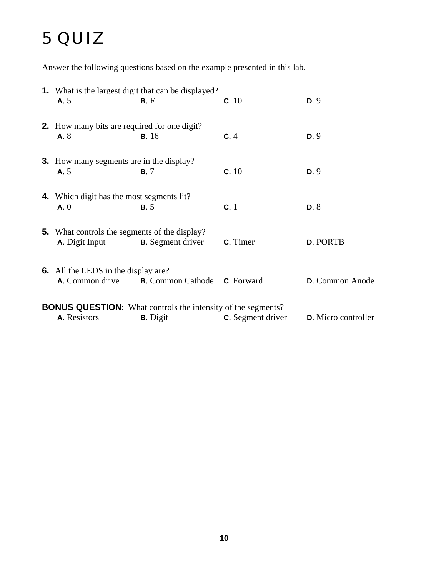### <span id="page-9-0"></span>5 QUIZ

Answer the following questions based on the example presented in this lab.

|                                                                     | <b>1.</b> What is the largest digit that can be displayed?                    |                                            |                          |                     |  |  |  |  |
|---------------------------------------------------------------------|-------------------------------------------------------------------------------|--------------------------------------------|--------------------------|---------------------|--|--|--|--|
|                                                                     | A.5                                                                           | B.F                                        | c.10                     | D.9                 |  |  |  |  |
|                                                                     | <b>2.</b> How many bits are required for one digit?                           |                                            |                          |                     |  |  |  |  |
|                                                                     | A.8                                                                           | <b>B.</b> 16                               | C.4                      | D.9                 |  |  |  |  |
|                                                                     | <b>3.</b> How many segments are in the display?                               |                                            |                          |                     |  |  |  |  |
|                                                                     | A.5                                                                           | <b>B.7</b>                                 | c.10                     | D.9                 |  |  |  |  |
|                                                                     |                                                                               |                                            |                          |                     |  |  |  |  |
|                                                                     | <b>4.</b> Which digit has the most segments lit?<br>A.0                       | B.5                                        | c.1                      | D.8                 |  |  |  |  |
|                                                                     |                                                                               |                                            |                          |                     |  |  |  |  |
|                                                                     | <b>5.</b> What controls the segments of the display?<br><b>A.</b> Digit Input | <b>B.</b> Segment driver                   | <b>C</b> . Timer         | <b>D. PORTB</b>     |  |  |  |  |
|                                                                     |                                                                               |                                            |                          |                     |  |  |  |  |
|                                                                     | <b>6.</b> All the LEDS in the display are?                                    |                                            |                          |                     |  |  |  |  |
|                                                                     | <b>A.</b> Common drive                                                        | <b>B.</b> Common Cathode <b>C.</b> Forward |                          | D. Common Anode     |  |  |  |  |
| <b>BONUS QUESTION:</b> What controls the intensity of the segments? |                                                                               |                                            |                          |                     |  |  |  |  |
|                                                                     | A. Resistors                                                                  | <b>B.</b> Digit                            | <b>C.</b> Segment driver | D. Micro controller |  |  |  |  |
|                                                                     |                                                                               |                                            |                          |                     |  |  |  |  |